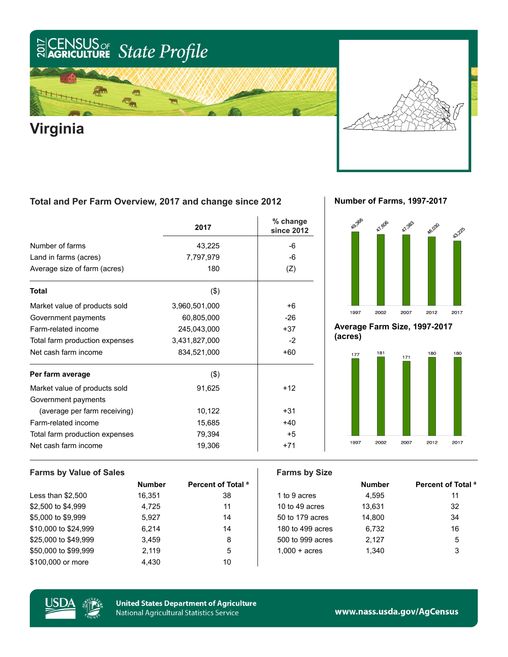### US<sub>or</sub> State Profile  $\frac{2017}{20}$

## 信 ѭ **Virginia**

### **Total and Per Farm Overview, 2017 and change since 2012**

|                                | 2017          | % change<br>since 2012 |
|--------------------------------|---------------|------------------------|
| Number of farms                | 43,225        | -6                     |
| Land in farms (acres)          | 7,797,979     | -6                     |
| Average size of farm (acres)   | 180           | (Z)                    |
| <b>Total</b>                   | (3)           |                        |
| Market value of products sold  | 3,960,501,000 | +6                     |
| Government payments            | 60,805,000    | $-26$                  |
| Farm-related income            | 245,043,000   | $+37$                  |
| Total farm production expenses | 3,431,827,000 | $-2$                   |
| Net cash farm income           | 834,521,000   | $+60$                  |
| Per farm average               | (3)           |                        |
| Market value of products sold  | 91,625        | $+12$                  |
| Government payments            |               |                        |
| (average per farm receiving)   | 10,122        | $+31$                  |
| Farm-related income            | 15,685        | $+40$                  |
| Total farm production expenses | 79,394        | $+5$                   |
| Net cash farm income           | 19,306        | $+71$                  |

**Number of Farms, 1997-2017**



**Average Farm Size, 1997-2017 (acres)**



### **Farms by Value of Sales Farms by Size Number Percent of Total a a number Percent Percent of Total a** Less than \$2,500 16,351 38 1 to 9 acres 4,595 11 \$2,500 to \$4,999 4.725 11 1 10 to 49 acres 13,631 32 \$5,000 to \$9,999 5,927 14 50 to 179 acres 14,800 34 \$10,000 to \$24,999 6,214 14 180 to 499 acres 6,732 16 \$25,000 to \$49,999 3,459 3,459 8 500 to 999 acres 2,127 5 \$50,000 to \$99,999 2,119 5 1,000 + acres 1,340 3 \$100,000 or more 4,430 10



**United States Department of Agriculture National Agricultural Statistics Service** 

www.nass.usda.gov/AgCensus